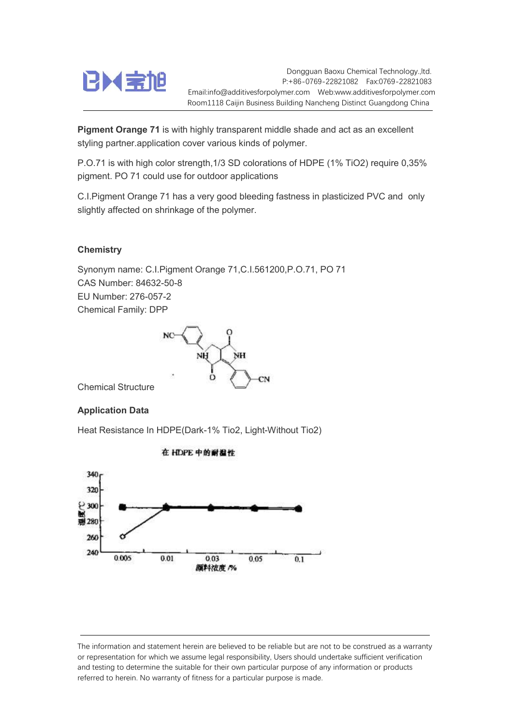

Dongguan Baoxu Chemical Technology.,ltd. P:+86-0769-22821082 Fax:0769-22821083 Email:info@additivesforpolymer.com Web:www.additivesforpolymer.com Room1118 Caijin Business Building Nancheng Distinct Guangdong China

**Pigment Orange 71** is with highly transparent middle shade and act as an excellent styling partner.application cover various kinds of polymer.

P.O.71 is with high color strength,1/3 SD colorations of HDPE (1% TiO2) require 0,35% pigment. PO 71 could use for outdoor applications

C.I.Pigment Orange 71 has a very good bleeding fastness in plasticized PVC and only slightly affected on shrinkage of the polymer.

## **Chemistry**

Synonym name: C.I.Pigment Orange 71,C.I.561200,P.O.71, PO 71 CAS Number: 84632-50-8 EU Number: 276-057-2 Chemical Family: DPP



Chemical Structure

## Application Data

Heat Resistance In HDPE(Dark-1% Tio2, Light-Without Tio2)



在 HDPE 中的耐温性

The information and statement herein are believed to be reliable but are not to be construed as a warranty or representation for which we assume legal responsibility, Users should undertake sufficient verification and testing to determine the suitable for their own particular purpose of any information or products referred to herein. No warranty of fitness for a particular purpose is made.